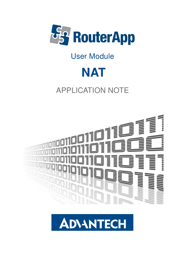

# User Module



# APPLICATION NOTE



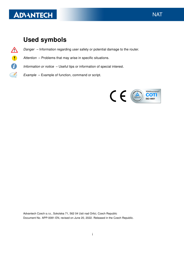# **ADVANTECH**

 $\frac{1}{2}$ 

J)

### Used symbols

- $\Delta$ Danger – Information regarding user safety or potential damage to the router.
	- Attention Problems that may arise in specific situations.
	- Information or notice Useful tips or information of special interest.
		- Example Example of function, command or script.



Advantech Czech s.r.o., Sokolska 71, 562 04 Usti nad Orlici, Czech Republic Document No. APP-0081-EN, revised on June 20, 2022. Released in the Czech Republic.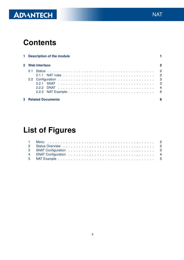# ADVANTECH

## **Contents**

| 1 Description of the module |                            |  |  |  |  |  |  |  |  |  |  |  |  |  |  |  |  |  |   |
|-----------------------------|----------------------------|--|--|--|--|--|--|--|--|--|--|--|--|--|--|--|--|--|---|
|                             | 2 Web Interface            |  |  |  |  |  |  |  |  |  |  |  |  |  |  |  |  |  | 2 |
|                             |                            |  |  |  |  |  |  |  |  |  |  |  |  |  |  |  |  |  |   |
|                             |                            |  |  |  |  |  |  |  |  |  |  |  |  |  |  |  |  |  |   |
|                             |                            |  |  |  |  |  |  |  |  |  |  |  |  |  |  |  |  |  |   |
|                             |                            |  |  |  |  |  |  |  |  |  |  |  |  |  |  |  |  |  |   |
|                             | <b>3 Related Documents</b> |  |  |  |  |  |  |  |  |  |  |  |  |  |  |  |  |  | 6 |

# List of Figures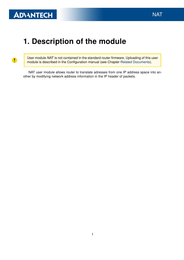$\bullet$ 

## <span id="page-3-0"></span>1. Description of the module

User module NAT is not contained in the standard router firmware. Uploading of this user module is described in the Configuration manual (see Chapter [Related Documents\)](#page-8-0).

NAT user module allows router to translate adresses from one IP address space into another by modifying network address information in the IP header of packets.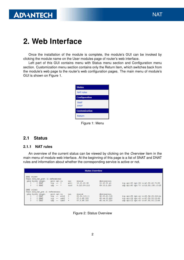### <span id="page-4-0"></span>2. Web Interface

Once the installation of the module is complete, the module's GUI can be invoked by clicking the module name on the User modules page of router's web interface.

Left part of this GUI contains menu with Status menu section and Configuration menu section. Customization menu section contains only the Return item, which switches back from the module's web page to the router's web configuration pages. The main menu of module's GUI is shown on Figure 1.

<span id="page-4-3"></span>

Figure 1: Menu

### <span id="page-4-1"></span>2.1 Status

#### <span id="page-4-2"></span>2.1.1 NAT rules

An overview of the current status can be viewed by clicking on the Overview item in the main menu of module web interface. At the beginning of this page is a list of SNAT and DNAT rules and information about whether the corresponding service is active or not.

|                | <b>Status Overview</b>                          |                                                        |                          |  |                                      |                     |                                       |                              |  |                                                                             |
|----------------|-------------------------------------------------|--------------------------------------------------------|--------------------------|--|--------------------------------------|---------------------|---------------------------------------|------------------------------|--|-----------------------------------------------------------------------------|
|                | SNAT rules:                                     | Chain mod nat post (1 references)<br>pkts bytes target | prot opt in              |  |                                      |                     |                                       | destination                  |  |                                                                             |
| 0.<br>$\Omega$ |                                                 | 0 SNAT<br>0 SNAT                                       | $tcp$ -- *<br>udp $--$ * |  |                                      | out<br>eth1<br>tun0 | source<br>10.20.20.38<br>9.120.89.112 | 10.20.30.40<br>89.10.2.150   |  | tcp spt:80 dpt:99 to:40.50.60.70:55<br>udp spt:60 dpt:70 to:12.80.150.10:25 |
|                | DNAT rules:<br>Chain mod nat pre (1 references) |                                                        |                          |  |                                      |                     |                                       |                              |  |                                                                             |
| 0              |                                                 | pkts bytes target<br>0 DNAT                            | prot opt in              |  | tcp -- eth2                          | out<br>*            | source<br>80.52.123.11                | destination<br>98.80.60.125  |  | tcp spt:55 dpt:44 to:98.56.25.222:44                                        |
| 0<br>0         |                                                 | 0 DNAT<br>0 DNAT                                       |                          |  | $tcp$ -- $usb0$<br>$u$ do -- $u$ sb0 | <b>大</b><br>₩       | 87.8.98.180<br>87.8.98.180            | 65.44.80.220<br>65.44.80.220 |  | tcp spt:12 dpt:45 to:67.50.50.12:66<br>udp spt:12 dpt:45 to:67.50.50.12:66  |

<span id="page-4-4"></span>Figure 2: Status Overview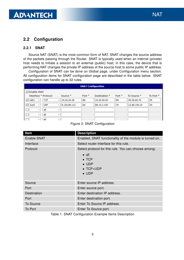### <span id="page-5-0"></span>2.2 Configuration

### <span id="page-5-1"></span>2.2.1 SNAT

Source NAT (SNAT) is the most common form of NAT. SNAT changes the source address of the packets passing through the Router. SNAT is typically used when an internal (private) host needs to initiate a session to an external (public) host; in this case, the device that is performing NAT changes the private IP address of the source host to some public IP address.

Configuration of SNAT can be done on Global page, under Configuration menu section. All configuration items for SNAT configuration page are described in the table below. SNAT configuration can handle up to 32 rules.

| <b>SNAT Configuration</b>               |                              |          |                          |          |              |           |  |  |  |
|-----------------------------------------|------------------------------|----------|--------------------------|----------|--------------|-----------|--|--|--|
| <b>▽ Enable SNAT</b>                    |                              |          |                          |          |              |           |  |  |  |
| Interface * Protocol                    | Source *                     | Port $*$ | Destination <sup>*</sup> | Port $*$ | To Source *  | To Port * |  |  |  |
| eth1<br><b>TCP</b><br>✓<br>$\checkmark$ | 10.20.20.38<br>$\checkmark$  | 80       | 10.20.30.40              | 99       | 40.50.60.70  | 55        |  |  |  |
| <b>UDP</b><br>tun0<br>⋈<br>$\checkmark$ | 9.120.89.112<br>$\checkmark$ | 60       | 89.10.2.150              | 70       | 12.80.150.10 | 25        |  |  |  |
| all<br>$\checkmark$                     | $\checkmark$                 |          |                          |          |              |           |  |  |  |
| all<br>$\checkmark$                     | $\checkmark$                 |          |                          |          |              |           |  |  |  |
| all<br>$\checkmark$                     | $\checkmark$                 |          |                          |          |              |           |  |  |  |

### <span id="page-5-2"></span>Figure 3: SNAT Configuration

| Item               | <b>Description</b>                                                                                                                            |
|--------------------|-----------------------------------------------------------------------------------------------------------------------------------------------|
| <b>Enable SNAT</b> | Enabled, SNAT functionality of the module is turned on.                                                                                       |
| Interface          | Select router interface for this rule.                                                                                                        |
| Protocol           | Select protocol for this rule. You can choose among:<br>$\bullet$ all<br>$\bullet$ TCP<br>$\bullet$ UDP<br>$\bullet$ TCP+UDP<br>$\bullet$ UDP |
| Source             | Enter source IP address.                                                                                                                      |
| Port               | Enter source port.                                                                                                                            |
| Destination        | Enter destination IP address.                                                                                                                 |
| Port               | Enter destination port.                                                                                                                       |
| <b>To Source</b>   | Enter To Source IP address.                                                                                                                   |
| To Port            | Enter To Source port.                                                                                                                         |

Table 1: SNAT Configuration Example Items Description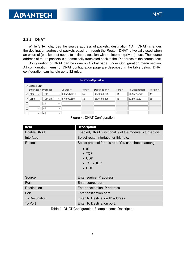### <span id="page-6-0"></span>2.2.2 DNAT

While SNAT changes the source address of packets, destination NAT (DNAT) changes the destination address of packets passing through the Router. DNAT is typically used when an external (public) host needs to initiate a session with an internal (private) host. The source address of return packets is automatically translated back to the IP address of the source host.

Configuration of DNAT can be done on Global page, under Configuration menu section. All configuration items for DNAT configuration page are described in the table below. DNAT configuration can handle up to 32 rules.

| <b>DNAT Configuration</b>                                      |                              |                   |               |                   |                |                      |  |  |
|----------------------------------------------------------------|------------------------------|-------------------|---------------|-------------------|----------------|----------------------|--|--|
| <b>☑</b> Enable DNAT                                           |                              |                   |               |                   |                |                      |  |  |
| Interface * Protocol                                           | Source *                     | Port <sup>*</sup> | Destination * | Port <sup>*</sup> | To Destination | To Port <sup>*</sup> |  |  |
| eth <sub>2</sub><br><b>TCP</b><br>$\checkmark$<br>$\checkmark$ | 80.52.123.11<br>$\checkmark$ | 55                | 98.80.60.125  | 44                | 98.56.25.222   | 44                   |  |  |
| TCP+UDP<br>usb0<br>∨<br>$\checkmark$                           | 87.8.98.180<br>$\checkmark$  | 12                | 65.44.80.220  | 45                | 67.50.50.12    | 66                   |  |  |
| all<br>$\checkmark$                                            | $\checkmark$                 |                   |               |                   |                |                      |  |  |
| all<br>$\checkmark$                                            | $\checkmark$                 |                   |               |                   |                |                      |  |  |
| all<br>$\checkmark$                                            | $\checkmark$                 |                   |               |                   |                |                      |  |  |

<span id="page-6-1"></span>Figure 4: DNAT Configuration

| <b>Item</b>           | <b>Description</b>                                                                                                                            |
|-----------------------|-----------------------------------------------------------------------------------------------------------------------------------------------|
| Enable DNAT           | Enabled, SNAT functionality of the module is turned on.                                                                                       |
| Interface             | Select router interface for this rule.                                                                                                        |
| Protocol              | Select protocol for this rule. You can choose among:<br>$\bullet$ all<br>$\bullet$ TCP<br>$\bullet$ UDP<br>$\bullet$ TCP+UDP<br>$\bullet$ UDP |
| Source                | Enter source IP address.                                                                                                                      |
| Port                  | Enter source port.                                                                                                                            |
| Destination           | Enter destination IP address.                                                                                                                 |
| Port                  | Enter destination port.                                                                                                                       |
| <b>To Destination</b> | Enter To Destination IP address.                                                                                                              |
| To Port               | Enter To Destination port.                                                                                                                    |

Table 2: DNAT Configuration Example Items Description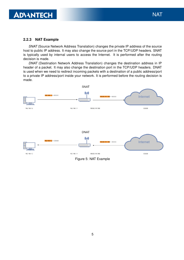### <span id="page-7-0"></span>2.2.3 NAT Example

SNAT (Source Network Address Translation) changes the private IP address of the source host to public IP address. It may also change the source port in the TCP/UDP headers. SNAT is typically used by internal users to access the Internet. It is performed after the routing decision is made.

DNAT (Destination Network Address Translation) changes the destination address in IP header of a packet. It may also change the destination port in the TCP/UDP headers. DNAT is used when we need to redirect incoming packets with a destination of a public address/port to a private IP address/port inside your network. It is performed before the routing decision is made.



<span id="page-7-1"></span>Figure 5: NAT Example